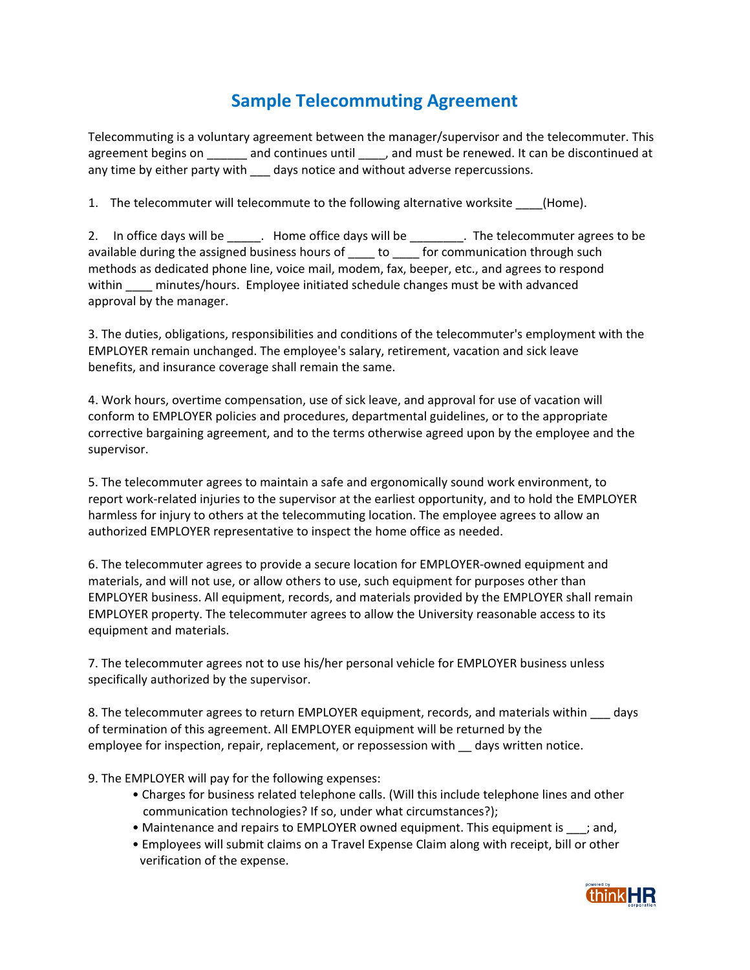## **Sample Telecommuting Agreement**

Telecommuting is a voluntary agreement between the manager/supervisor and the telecommuter. This agreement begins on \_\_\_\_\_\_ and continues until \_\_\_\_, and must be renewed. It can be discontinued at any time by either party with days notice and without adverse repercussions.

1. The telecommuter will telecommute to the following alternative worksite (Home).

2. In office days will be  $\qquad \qquad$  . Home office days will be  $\qquad \qquad$  . The telecommuter agrees to be available during the assigned business hours of \_\_\_\_ to \_\_\_\_ for communication through such methods as dedicated phone line, voice mail, modem, fax, beeper, etc., and agrees to respond within minutes/hours. Employee initiated schedule changes must be with advanced approval by the manager.

3. The duties, obligations, responsibilities and conditions of the telecommuter's employment with the EMPLOYER remain unchanged. The employee's salary, retirement, vacation and sick leave benefits, and insurance coverage shall remain the same.

4. Work hours, overtime compensation, use of sick leave, and approval for use of vacation will conform to EMPLOYER policies and procedures, departmental guidelines, or to the appropriate corrective bargaining agreement, and to the terms otherwise agreed upon by the employee and the supervisor.

5. The telecommuter agrees to maintain a safe and ergonomically sound work environment, to report work‐related injuries to the supervisor at the earliest opportunity, and to hold the EMPLOYER harmless for injury to others at the telecommuting location. The employee agrees to allow an authorized EMPLOYER representative to inspect the home office as needed.

6. The telecommuter agrees to provide a secure location for EMPLOYER‐owned equipment and materials, and will not use, or allow others to use, such equipment for purposes other than EMPLOYER business. All equipment, records, and materials provided by the EMPLOYER shall remain EMPLOYER property. The telecommuter agrees to allow the University reasonable access to its equipment and materials.

7. The telecommuter agrees not to use his/her personal vehicle for EMPLOYER business unless specifically authorized by the supervisor.

8. The telecommuter agrees to return EMPLOYER equipment, records, and materials within days of termination of this agreement. All EMPLOYER equipment will be returned by the employee for inspection, repair, replacement, or repossession with \_\_ days written notice.

9. The EMPLOYER will pay for the following expenses:

- Charges for business related telephone calls. (Will this include telephone lines and other communication technologies? If so, under what circumstances?);
- Maintenance and repairs to EMPLOYER owned equipment. This equipment is \_\_\_; and,
- Employees will submit claims on a Travel Expense Claim along with receipt, bill or other verification of the expense.